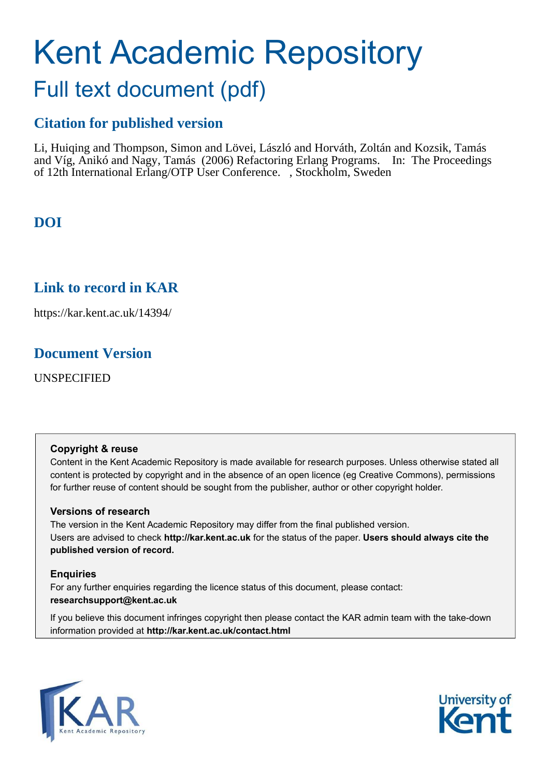# Kent Academic Repository

## Full text document (pdf)

## **Citation for published version**

Li, Huiqing and Thompson, Simon and Lövei, László and Horváth, Zoltán and Kozsik, Tamás and Víg, Anikó and Nagy, Tamás (2006) Refactoring Erlang Programs. In: The Proceedings of 12th International Erlang/OTP User Conference. , Stockholm, Sweden

## **DOI**

## **Link to record in KAR**

https://kar.kent.ac.uk/14394/

## **Document Version**

UNSPECIFIED

#### **Copyright & reuse**

Content in the Kent Academic Repository is made available for research purposes. Unless otherwise stated all content is protected by copyright and in the absence of an open licence (eg Creative Commons), permissions for further reuse of content should be sought from the publisher, author or other copyright holder.

#### **Versions of research**

The version in the Kent Academic Repository may differ from the final published version. Users are advised to check **http://kar.kent.ac.uk** for the status of the paper. **Users should always cite the published version of record.**

#### **Enquiries**

For any further enquiries regarding the licence status of this document, please contact: **researchsupport@kent.ac.uk**

If you believe this document infringes copyright then please contact the KAR admin team with the take-down information provided at **http://kar.kent.ac.uk/contact.html**



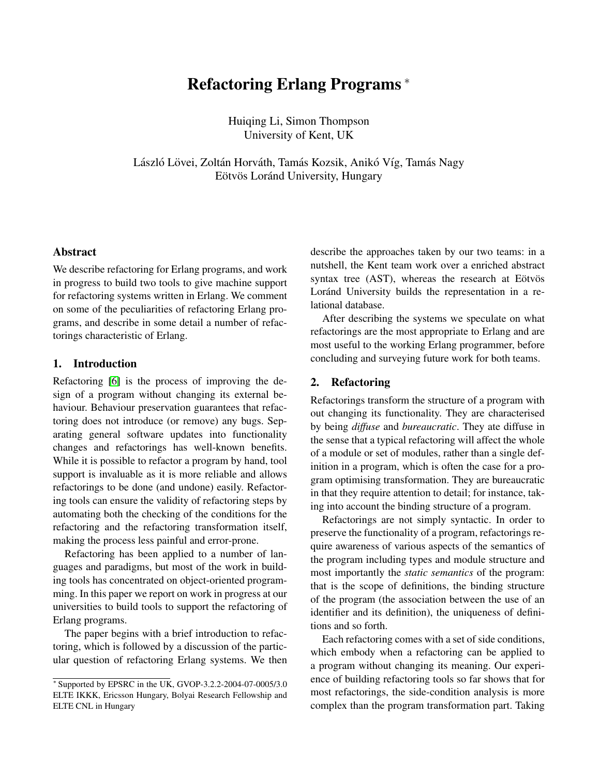### Refactoring Erlang Programs <sup>∗</sup>

Huiqing Li, Simon Thompson University of Kent, UK

László Lövei, Zoltán Horváth, Tamás Kozsik, Anikó Víg, Tamás Nagy Eötvös Loránd University, Hungary

#### Abstract

We describe refactoring for Erlang programs, and work in progress to build two tools to give machine support for refactoring systems written in Erlang. We comment on some of the peculiarities of refactoring Erlang programs, and describe in some detail a number of refactorings characteristic of Erlang.

#### 1. Introduction

Refactoring [\[6\]](#page-9-0) is the process of improving the design of a program without changing its external behaviour. Behaviour preservation guarantees that refactoring does not introduce (or remove) any bugs. Separating general software updates into functionality changes and refactorings has well-known benefits. While it is possible to refactor a program by hand, tool support is invaluable as it is more reliable and allows refactorings to be done (and undone) easily. Refactoring tools can ensure the validity of refactoring steps by automating both the checking of the conditions for the refactoring and the refactoring transformation itself, making the process less painful and error-prone.

Refactoring has been applied to a number of languages and paradigms, but most of the work in building tools has concentrated on object-oriented programming. In this paper we report on work in progress at our universities to build tools to support the refactoring of Erlang programs.

The paper begins with a brief introduction to refactoring, which is followed by a discussion of the particular question of refactoring Erlang systems. We then <span id="page-1-0"></span>describe the approaches taken by our two teams: in a nutshell, the Kent team work over a enriched abstract syntax tree  $(AST)$ , whereas the research at Eötvös Loránd University builds the representation in a relational database.

After describing the systems we speculate on what refactorings are the most appropriate to Erlang and are most useful to the working Erlang programmer, before concluding and surveying future work for both teams.

#### <span id="page-1-1"></span>2. Refactoring

Refactorings transform the structure of a program with out changing its functionality. They are characterised by being *diffuse* and *bureaucratic*. They ate diffuse in the sense that a typical refactoring will affect the whole of a module or set of modules, rather than a single definition in a program, which is often the case for a program optimising transformation. They are bureaucratic in that they require attention to detail; for instance, taking into account the binding structure of a program.

Refactorings are not simply syntactic. In order to preserve the functionality of a program, refactorings require awareness of various aspects of the semantics of the program including types and module structure and most importantly the *static semantics* of the program: that is the scope of definitions, the binding structure of the program (the association between the use of an identifier and its definition), the uniqueness of definitions and so forth.

Each refactoring comes with a set of side conditions, which embody when a refactoring can be applied to a program without changing its meaning. Our experience of building refactoring tools so far shows that for most refactorings, the side-condition analysis is more complex than the program transformation part. Taking

<sup>∗</sup> Supported by EPSRC in the UK, GVOP-3.2.2-2004-07-0005/3.0 ELTE IKKK, Ericsson Hungary, Bolyai Research Fellowship and ELTE CNL in Hungary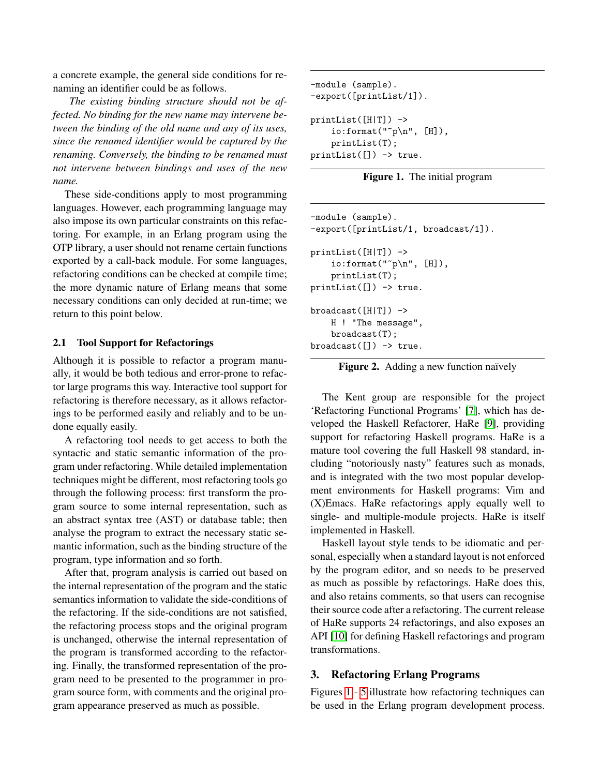a concrete example, the general side conditions for renaming an identifier could be as follows.

*The existing binding structure should not be affected. No binding for the new name may intervene between the binding of the old name and any of its uses, since the renamed identifier would be captured by the renaming. Conversely, the binding to be renamed must not intervene between bindings and uses of the new name.*

<span id="page-2-1"></span>These side-conditions apply to most programming languages. However, each programming language may also impose its own particular constraints on this refactoring. For example, in an Erlang program using the OTP library, a user should not rename certain functions exported by a call-back module. For some languages, refactoring conditions can be checked at compile time; the more dynamic nature of Erlang means that some necessary conditions can only decided at run-time; we return to this point below.

#### 2.1 Tool Support for Refactorings

<span id="page-2-2"></span>Although it is possible to refactor a program manually, it would be both tedious and error-prone to refactor large programs this way. Interactive tool support for refactoring is therefore necessary, as it allows refactorings to be performed easily and reliably and to be undone equally easily.

A refactoring tool needs to get access to both the syntactic and static semantic information of the program under refactoring. While detailed implementation techniques might be different, most refactoring tools go through the following process: first transform the program source to some internal representation, such as an abstract syntax tree (AST) or database table; then analyse the program to extract the necessary static semantic information, such as the binding structure of the program, type information and so forth.

After that, program analysis is carried out based on the internal representation of the program and the static semantics information to validate the side-conditions of the refactoring. If the side-conditions are not satisfied, the refactoring process stops and the original program is unchanged, otherwise the internal representation of the program is transformed according to the refactoring. Finally, the transformed representation of the program need to be presented to the programmer in program source form, with comments and the original program appearance preserved as much as possible.

```
-module (sample).
-export([printList/1]).
printList([H|T]) ->
    io:format("p\nm", [H]),
    printList(T);
printList([]) -> true.
```
Figure 1. The initial program

```
-module (sample).
-export([printList/1, broadcast/1]).
printList([H|T]) ->
    \text{io:format}("^{\sim}p\n\cdot n", [H]),printList(T);
printList([]) -> true.
broadcast([H|T]) ->
    H ! "The message",
    broadcast(T);
broadcast([]) -> true.
```
Figure 2. Adding a new function naïvely

The Kent group are responsible for the project 'Refactoring Functional Programs' [\[7\]](#page-9-1), which has developed the Haskell Refactorer, HaRe [\[9\]](#page-9-2), providing support for refactoring Haskell programs. HaRe is a mature tool covering the full Haskell 98 standard, including "notoriously nasty" features such as monads, and is integrated with the two most popular development environments for Haskell programs: Vim and (X)Emacs. HaRe refactorings apply equally well to single- and multiple-module projects. HaRe is itself implemented in Haskell.

Haskell layout style tends to be idiomatic and personal, especially when a standard layout is not enforced by the program editor, and so needs to be preserved as much as possible by refactorings. HaRe does this, and also retains comments, so that users can recognise their source code after a refactoring. The current release of HaRe supports 24 refactorings, and also exposes an API [\[10\]](#page-9-3) for defining Haskell refactorings and program transformations.

#### 3. Refactoring Erlang Programs

Figures [1](#page-1-0) - [5](#page-2-0) illustrate how refactoring techniques can be used in the Erlang program development process.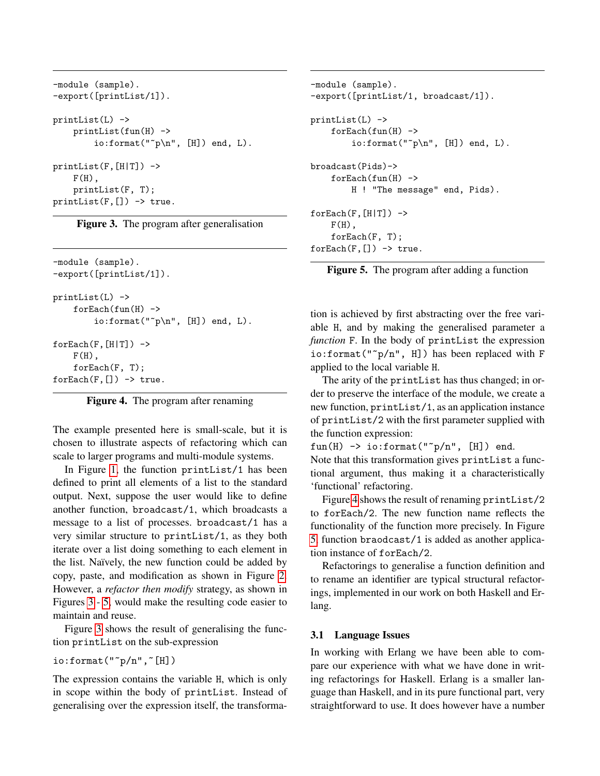```
-module (sample).
-export([printList/1]).
printList(L) ->
    printList(fun(H) ->
        io:format("p\nm", [H]) end, L).
printList(F,[H|T]) \rightarrowF(H),
    printList(F, T);
printList(F,[]) -> true.
```
Figure 3. The program after generalisation

```
-module (sample).
-export([printList/1]).
printList(L) ->
     for \text{Each}(\text{fun}(H)) \rightarrow\verb|io:format("^p\n', [H]) end, L|.for \text{Each}(F, [H|T]) \rightarrowF(H),
     forEach(F, T);
for \text{Each}(F, [] -> true.
```

|  |  |  |  | Figure 4. The program after renaming |
|--|--|--|--|--------------------------------------|
|--|--|--|--|--------------------------------------|

The example presented here is small-scale, but it is chosen to illustrate aspects of refactoring which can scale to larger programs and multi-module systems.

In Figure [1,](#page-1-0) the function printList/1 has been defined to print all elements of a list to the standard output. Next, suppose the user would like to define another function, broadcast/1, which broadcasts a message to a list of processes. broadcast/1 has a very similar structure to printList/1, as they both iterate over a list doing something to each element in the list. Naïvely, the new function could be added by copy, paste, and modification as shown in Figure [2.](#page-1-1) However, a *refactor then modify* strategy, as shown in Figures [3](#page-2-1) - [5,](#page-2-0) would make the resulting code easier to maintain and reuse.

Figure [3](#page-2-1) shows the result of generalising the function printList on the sub-expression

```
io:format("^p/n", [H])
```
The expression contains the variable H, which is only in scope within the body of printList. Instead of generalising over the expression itself, the transforma-

```
-module (sample).
-export([printList/1, broadcast/1]).
printList(L) ->
     for \text{Each}(\text{fun}(H)) \rightarrowio:format("p\nm", [H]) end, L).
broadcast(Pids)->
     for \text{Each}(\text{fun}(H)) \rightarrowH ! "The message" end, Pids).
for \text{Each}(F, [H|T]) \rightarrowF(H),
     forEach(F, T);
for \text{Each}(F, [] -> true.
```


tion is achieved by first abstracting over the free variable H, and by making the generalised parameter a *function* F. In the body of printList the expression io:format("~p/n", H]) has been replaced with F applied to the local variable H.

The arity of the printList has thus changed; in order to preserve the interface of the module, we create a new function, printList/1, as an application instance of printList/2 with the first parameter supplied with the function expression:

fun(H)  $\rightarrow$  io:format(" $\gamma$ n", [H]) end.

Note that this transformation gives printList a functional argument, thus making it a characteristically 'functional' refactoring.

Figure [4](#page-2-2) shows the result of renaming printList/2 to forEach/2. The new function name reflects the functionality of the function more precisely. In Figure [5,](#page-2-0) function braodcast/1 is added as another application instance of forEach/2.

Refactorings to generalise a function definition and to rename an identifier are typical structural refactorings, implemented in our work on both Haskell and Erlang.

#### 3.1 Language Issues

In working with Erlang we have been able to compare our experience with what we have done in writing refactorings for Haskell. Erlang is a smaller language than Haskell, and in its pure functional part, very straightforward to use. It does however have a number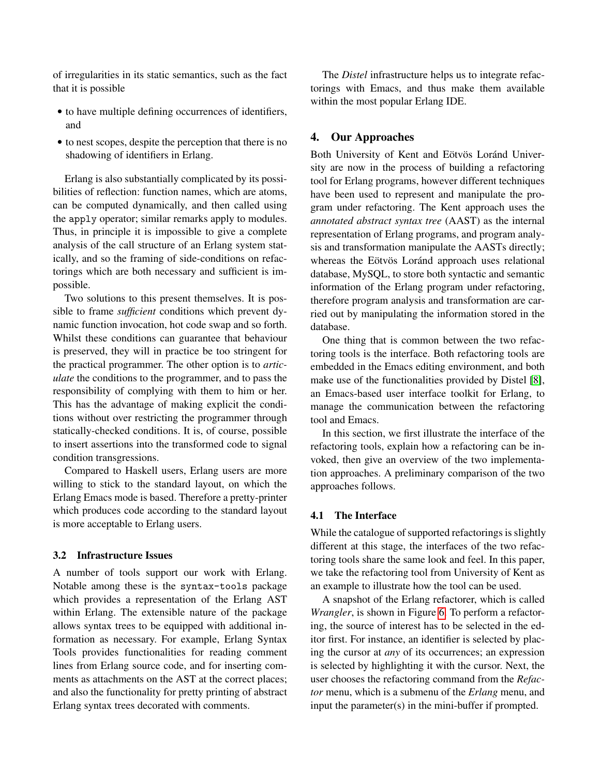of irregularities in its static semantics, such as the fact that it is possible

- to have multiple defining occurrences of identifiers, and
- to nest scopes, despite the perception that there is no shadowing of identifiers in Erlang.

Erlang is also substantially complicated by its possibilities of reflection: function names, which are atoms, can be computed dynamically, and then called using the apply operator; similar remarks apply to modules. Thus, in principle it is impossible to give a complete analysis of the call structure of an Erlang system statically, and so the framing of side-conditions on refactorings which are both necessary and sufficient is impossible.

<span id="page-4-0"></span>Two solutions to this present themselves. It is possible to frame *sufficient* conditions which prevent dynamic function invocation, hot code swap and so forth. Whilst these conditions can guarantee that behaviour is preserved, they will in practice be too stringent for the practical programmer. The other option is to *articulate* the conditions to the programmer, and to pass the responsibility of complying with them to him or her. This has the advantage of making explicit the conditions without over restricting the programmer through statically-checked conditions. It is, of course, possible to insert assertions into the transformed code to signal condition transgressions.

Compared to Haskell users, Erlang users are more willing to stick to the standard layout, on which the Erlang Emacs mode is based. Therefore a pretty-printer which produces code according to the standard layout is more acceptable to Erlang users.

#### 3.2 Infrastructure Issues

<span id="page-4-1"></span>A number of tools support our work with Erlang. Notable among these is the syntax-tools package which provides a representation of the Erlang AST within Erlang. The extensible nature of the package allows syntax trees to be equipped with additional information as necessary. For example, Erlang Syntax Tools provides functionalities for reading comment lines from Erlang source code, and for inserting comments as attachments on the AST at the correct places; and also the functionality for pretty printing of abstract Erlang syntax trees decorated with comments.

The *Distel* infrastructure helps us to integrate refactorings with Emacs, and thus make them available within the most popular Erlang IDE.

#### 4. Our Approaches

Both University of Kent and Eötvös Loránd University are now in the process of building a refactoring tool for Erlang programs, however different techniques have been used to represent and manipulate the program under refactoring. The Kent approach uses the *annotated abstract syntax tree* (AAST) as the internal representation of Erlang programs, and program analysis and transformation manipulate the AASTs directly; whereas the Eötvös Loránd approach uses relational database, MySQL, to store both syntactic and semantic information of the Erlang program under refactoring, therefore program analysis and transformation are carried out by manipulating the information stored in the database.

One thing that is common between the two refactoring tools is the interface. Both refactoring tools are embedded in the Emacs editing environment, and both make use of the functionalities provided by Distel [\[8\]](#page-9-4), an Emacs-based user interface toolkit for Erlang, to manage the communication between the refactoring tool and Emacs.

In this section, we first illustrate the interface of the refactoring tools, explain how a refactoring can be invoked, then give an overview of the two implementation approaches. A preliminary comparison of the two approaches follows.

#### 4.1 The Interface

While the catalogue of supported refactorings is slightly different at this stage, the interfaces of the two refactoring tools share the same look and feel. In this paper, we take the refactoring tool from University of Kent as an example to illustrate how the tool can be used.

A snapshot of the Erlang refactorer, which is called *Wrangler*, is shown in Figure [6.](#page-4-0) To perform a refactoring, the source of interest has to be selected in the editor first. For instance, an identifier is selected by placing the cursor at *any* of its occurrences; an expression is selected by highlighting it with the cursor. Next, the user chooses the refactoring command from the *Refactor* menu, which is a submenu of the *Erlang* menu, and input the parameter(s) in the mini-buffer if prompted.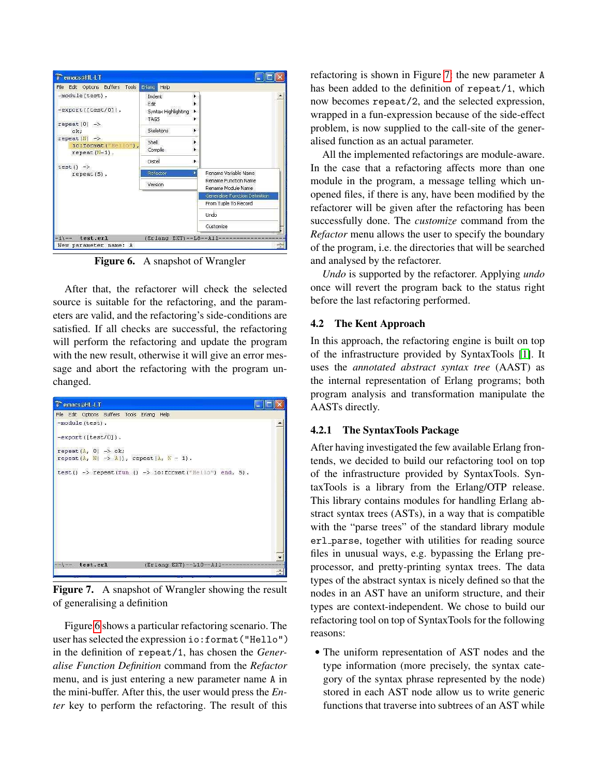| -module(test).<br>Indent<br>۱.<br>Edit<br>k.<br>-export ([test/0]).<br>Syntax Highlighting<br>Þ.<br>TAGS<br>¥.<br>repeat $(0)$ -><br>Skeletons<br>×.<br>ok:<br>repeat $(N) \rightarrow$<br>Shell<br>io:format("Hello"),<br>Compile<br>repeat $(N-1)$ .<br>Distel<br>Þ.<br>$test()$ -><br>Rename Variable Name<br>Refactor<br>repeat $(5)$ .<br>Rename Function Name<br>Version<br>Rename Module Name<br>Generalise Function Definition<br>From Tuple To Record<br>Lindo<br>Customize |  |  |  |
|--------------------------------------------------------------------------------------------------------------------------------------------------------------------------------------------------------------------------------------------------------------------------------------------------------------------------------------------------------------------------------------------------------------------------------------------------------------------------------------|--|--|--|
|                                                                                                                                                                                                                                                                                                                                                                                                                                                                                      |  |  |  |
|                                                                                                                                                                                                                                                                                                                                                                                                                                                                                      |  |  |  |
|                                                                                                                                                                                                                                                                                                                                                                                                                                                                                      |  |  |  |
|                                                                                                                                                                                                                                                                                                                                                                                                                                                                                      |  |  |  |
|                                                                                                                                                                                                                                                                                                                                                                                                                                                                                      |  |  |  |
|                                                                                                                                                                                                                                                                                                                                                                                                                                                                                      |  |  |  |
|                                                                                                                                                                                                                                                                                                                                                                                                                                                                                      |  |  |  |
|                                                                                                                                                                                                                                                                                                                                                                                                                                                                                      |  |  |  |

Figure 6. A snapshot of Wrangler

After that, the refactorer will check the selected source is suitable for the refactoring, and the parameters are valid, and the refactoring's side-conditions are satisfied. If all checks are successful, the refactoring will perform the refactoring and update the program with the new result, otherwise it will give an error message and abort the refactoring with the program unchanged.



Figure 7. A snapshot of Wrangler showing the result of generalising a definition

Figure [6](#page-4-0) shows a particular refactoring scenario. The user has selected the expression io:format("Hello") in the definition of repeat/1, has chosen the *Generalise Function Definition* command from the *Refactor* menu, and is just entering a new parameter name A in the mini-buffer. After this, the user would press the *Enter* key to perform the refactoring. The result of this refactoring is shown in Figure [7:](#page-4-1) the new parameter A has been added to the definition of repeat/1, which now becomes repeat/2, and the selected expression, wrapped in a fun-expression because of the side-effect problem, is now supplied to the call-site of the generalised function as an actual parameter.

All the implemented refactorings are module-aware. In the case that a refactoring affects more than one module in the program, a message telling which unopened files, if there is any, have been modified by the refactorer will be given after the refactoring has been successfully done. The *customize* command from the *Refactor* menu allows the user to specify the boundary of the program, i.e. the directories that will be searched and analysed by the refactorer.

*Undo* is supported by the refactorer. Applying *undo* once will revert the program back to the status right before the last refactoring performed.

#### 4.2 The Kent Approach

In this approach, the refactoring engine is built on top of the infrastructure provided by SyntaxTools [\[1\]](#page-9-5). It uses the *annotated abstract syntax tree* (AAST) as the internal representation of Erlang programs; both program analysis and transformation manipulate the AASTs directly.

#### 4.2.1 The SyntaxTools Package

<span id="page-5-0"></span>After having investigated the few available Erlang frontends, we decided to build our refactoring tool on top of the infrastructure provided by SyntaxTools. SyntaxTools is a library from the Erlang/OTP release. This library contains modules for handling Erlang abstract syntax trees (ASTs), in a way that is compatible with the "parse trees" of the standard library module erl parse, together with utilities for reading source files in unusual ways, e.g. bypassing the Erlang preprocessor, and pretty-printing syntax trees. The data types of the abstract syntax is nicely defined so that the nodes in an AST have an uniform structure, and their types are context-independent. We chose to build our refactoring tool on top of SyntaxTools for the following reasons:

• The uniform representation of AST nodes and the type information (more precisely, the syntax category of the syntax phrase represented by the node) stored in each AST node allow us to write generic functions that traverse into subtrees of an AST while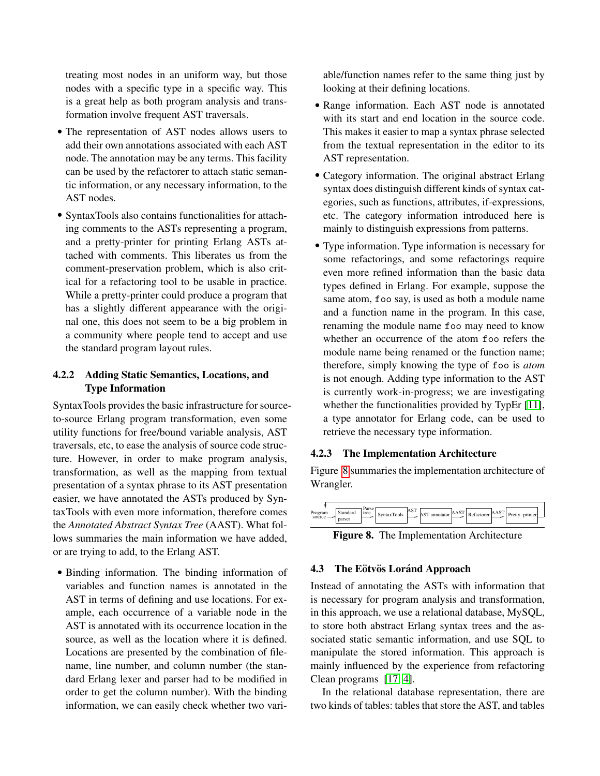<span id="page-6-0"></span>treating most nodes in an uniform way, but those nodes with a specific type in a specific way. This is a great help as both program analysis and transformation involve frequent AST traversals.

- The representation of AST nodes allows users to add their own annotations associated with each AST node. The annotation may be any terms. This facility can be used by the refactorer to attach static semantic information, or any necessary information, to the AST nodes.
- SyntaxTools also contains functionalities for attaching comments to the ASTs representing a program, and a pretty-printer for printing Erlang ASTs attached with comments. This liberates us from the comment-preservation problem, which is also critical for a refactoring tool to be usable in practice. While a pretty-printer could produce a program that has a slightly different appearance with the original one, this does not seem to be a big problem in a community where people tend to accept and use the standard program layout rules.

#### 4.2.2 Adding Static Semantics, Locations, and Type Information

<span id="page-6-1"></span>SyntaxTools provides the basic infrastructure for sourceto-source Erlang program transformation, even some utility functions for free/bound variable analysis, AST traversals, etc, to ease the analysis of source code structure. However, in order to make program analysis, transformation, as well as the mapping from textual presentation of a syntax phrase to its AST presentation easier, we have annotated the ASTs produced by SyntaxTools with even more information, therefore comes the *Annotated Abstract Syntax Tree* (AAST). What follows summaries the main information we have added, or are trying to add, to the Erlang AST.

• Binding information. The binding information of variables and function names is annotated in the AST in terms of defining and use locations. For example, each occurrence of a variable node in the AST is annotated with its occurrence location in the source, as well as the location where it is defined. Locations are presented by the combination of filename, line number, and column number (the standard Erlang lexer and parser had to be modified in order to get the column number). With the binding information, we can easily check whether two vari-

able/function names refer to the same thing just by looking at their defining locations.

- Range information. Each AST node is annotated with its start and end location in the source code. This makes it easier to map a syntax phrase selected from the textual representation in the editor to its AST representation.
- Category information. The original abstract Erlang syntax does distinguish different kinds of syntax categories, such as functions, attributes, if-expressions, etc. The category information introduced here is mainly to distinguish expressions from patterns.
- Type information. Type information is necessary for some refactorings, and some refactorings require even more refined information than the basic data types defined in Erlang. For example, suppose the same atom, foo say, is used as both a module name and a function name in the program. In this case, renaming the module name foo may need to know whether an occurrence of the atom foo refers the module name being renamed or the function name; therefore, simply knowing the type of foo is *atom* is not enough. Adding type information to the AST is currently work-in-progress; we are investigating whether the functionalities provided by TypEr [\[11\]](#page-9-6), a type annotator for Erlang code, can be used to retrieve the necessary type information.

#### 4.2.3 The Implementation Architecture

Figure [8](#page-5-0) summaries the implementation architecture of Wrangler.



Figure 8. The Implementation Architecture

#### 4.3 The Eötvös Loránd Approach

<span id="page-6-3"></span>Instead of annotating the ASTs with information that is necessary for program analysis and transformation, in this approach, we use a relational database, MySQL, to store both abstract Erlang syntax trees and the associated static semantic information, and use SQL to manipulate the stored information. This approach is mainly influenced by the experience from refactoring Clean programs [\[17,](#page-9-7) [4\]](#page-9-8).

<span id="page-6-2"></span>In the relational database representation, there are two kinds of tables: tables that store the AST, and tables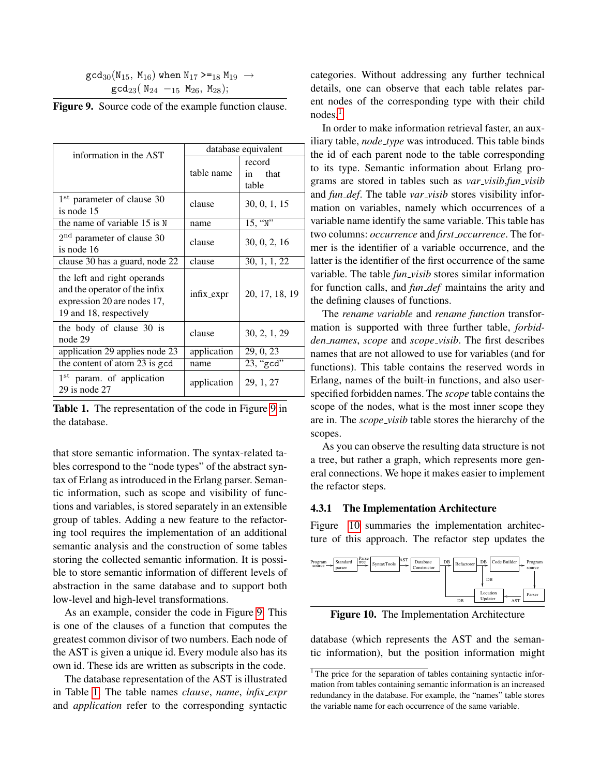| $\gcd_{30}({\rm N}_{15},\ {\rm M}_{16})$ when ${\rm N}_{17}$ >= $_{18}$ ${\rm M}_{19}$ $\;\rightarrow$ |  |
|--------------------------------------------------------------------------------------------------------|--|
| $gcd_{23}( N_{24} -_{15} M_{26}, M_{28});$                                                             |  |

| <b>Figure 9.</b> Source code of the example function clause. |  |
|--------------------------------------------------------------|--|
|--------------------------------------------------------------|--|

| information in the AST                                                                                                 | database equivalent |                               |  |
|------------------------------------------------------------------------------------------------------------------------|---------------------|-------------------------------|--|
|                                                                                                                        | table name          | record<br>that<br>in<br>table |  |
| 1 <sup>st</sup> parameter of clause 30<br>is node 15                                                                   | clause              | 30, 0, 1, 15                  |  |
| the name of variable 15 is N                                                                                           | name                | 15, "N"                       |  |
| $2nd$ parameter of clause 30<br>is node 16                                                                             | clause              | 30, 0, 2, 16                  |  |
| clause 30 has a guard, node 22                                                                                         | clause              | 30, 1, 1, 22                  |  |
| the left and right operands<br>and the operator of the infix<br>expression 20 are nodes 17,<br>19 and 18, respectively | $infix\_expr$       | 20, 17, 18, 19                |  |
| the body of clause 30 is<br>node 29                                                                                    | clause              | 30, 2, 1, 29                  |  |
| application 29 applies node 23                                                                                         | application         | 29, 0, 23                     |  |
| the content of atom 23 is gcd                                                                                          | name                | 23, "gcd"                     |  |
| 1 <sup>st</sup> param. of application<br>$29$ is node $27$                                                             | application         | 29, 1, 27                     |  |

Table 1. The representation of the code in Figure [9](#page-6-0) in the database.

that store semantic information. The syntax-related tables correspond to the "node types" of the abstract syntax of Erlang as introduced in the Erlang parser. Semantic information, such as scope and visibility of functions and variables, is stored separately in an extensible group of tables. Adding a new feature to the refactoring tool requires the implementation of an additional semantic analysis and the construction of some tables storing the collected semantic information. It is possible to store semantic information of different levels of abstraction in the same database and to support both low-level and high-level transformations.

As an example, consider the code in Figure [9.](#page-6-0) This is one of the clauses of a function that computes the greatest common divisor of two numbers. Each node of the AST is given a unique id. Every module also has its own id. These ids are written as subscripts in the code.

The database representation of the AST is illustrated in Table [1.](#page-6-1) The table names *clause*, *name*, *infix expr* and *application* refer to the corresponding syntactic categories. Without addressing any further technical details, one can observe that each table relates parent nodes of the corresponding type with their child  $nodes<sup>1</sup>$  $nodes<sup>1</sup>$  $nodes<sup>1</sup>$ 

In order to make information retrieval faster, an auxiliary table, *node type* was introduced. This table binds the id of each parent node to the table corresponding to its type. Semantic information about Erlang programs are stored in tables such as *var visib*,*fun visib* and *fun def*. The table *var visib* stores visibility information on variables, namely which occurrences of a variable name identify the same variable. This table has two columns: *occurrence* and *first occurrence*. The former is the identifier of a variable occurrence, and the latter is the identifier of the first occurrence of the same variable. The table *fun\_visib* stores similar information for function calls, and *fun def* maintains the arity and the defining clauses of functions.

The *rename variable* and *rename function* transformation is supported with three further table, *forbidden names*, *scope* and *scope visib*. The first describes names that are not allowed to use for variables (and for functions). This table contains the reserved words in Erlang, names of the built-in functions, and also userspecified forbidden names. The *scope* table contains the scope of the nodes, what is the most inner scope they are in. The *scope visib* table stores the hierarchy of the scopes.

As you can observe the resulting data structure is not a tree, but rather a graph, which represents more general connections. We hope it makes easier to implement the refactor steps.

#### 4.3.1 The Implementation Architecture

Figure [10](#page-6-3) summaries the implementation architecture of this approach. The refactor step updates the



Figure 10. The Implementation Architecture

database (which represents the AST and the semantic information), but the position information might

 $1$ <sup>1</sup> The price for the separation of tables containing syntactic information from tables containing semantic information is an increased redundancy in the database. For example, the "names" table stores the variable name for each occurrence of the same variable.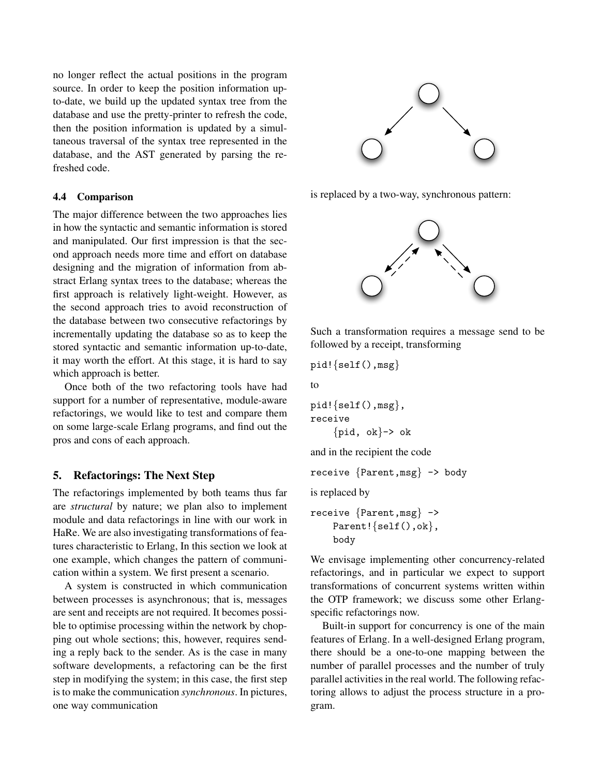no longer reflect the actual positions in the program source. In order to keep the position information upto-date, we build up the updated syntax tree from the database and use the pretty-printer to refresh the code, then the position information is updated by a simultaneous traversal of the syntax tree represented in the database, and the AST generated by parsing the refreshed code.

#### 4.4 Comparison

The major difference between the two approaches lies in how the syntactic and semantic information is stored and manipulated. Our first impression is that the second approach needs more time and effort on database designing and the migration of information from abstract Erlang syntax trees to the database; whereas the first approach is relatively light-weight. However, as the second approach tries to avoid reconstruction of the database between two consecutive refactorings by incrementally updating the database so as to keep the stored syntactic and semantic information up-to-date, it may worth the effort. At this stage, it is hard to say which approach is better.

Once both of the two refactoring tools have had support for a number of representative, module-aware refactorings, we would like to test and compare them on some large-scale Erlang programs, and find out the pros and cons of each approach.

#### 5. Refactorings: The Next Step

The refactorings implemented by both teams thus far are *structural* by nature; we plan also to implement module and data refactorings in line with our work in HaRe. We are also investigating transformations of features characteristic to Erlang, In this section we look at one example, which changes the pattern of communication within a system. We first present a scenario.

A system is constructed in which communication between processes is asynchronous; that is, messages are sent and receipts are not required. It becomes possible to optimise processing within the network by chopping out whole sections; this, however, requires sending a reply back to the sender. As is the case in many software developments, a refactoring can be the first step in modifying the system; in this case, the first step is to make the communication *synchronous*. In pictures, one way communication



is replaced by a two-way, synchronous pattern:



Such a transformation requires a message send to be followed by a receipt, transforming

```
pid!{self(),msg}
```
to

```
pid!{self(),msg},
receive
     \{pid, ok\} \rightarrow ok
```
and in the recipient the code

receive {Parent,msg} -> body

is replaced by

```
receive {Parent,msg} ->
    Parent!{self(),ok},
    body
```
We envisage implementing other concurrency-related refactorings, and in particular we expect to support transformations of concurrent systems written within the OTP framework; we discuss some other Erlangspecific refactorings now.

Built-in support for concurrency is one of the main features of Erlang. In a well-designed Erlang program, there should be a one-to-one mapping between the number of parallel processes and the number of truly parallel activities in the real world. The following refactoring allows to adjust the process structure in a program.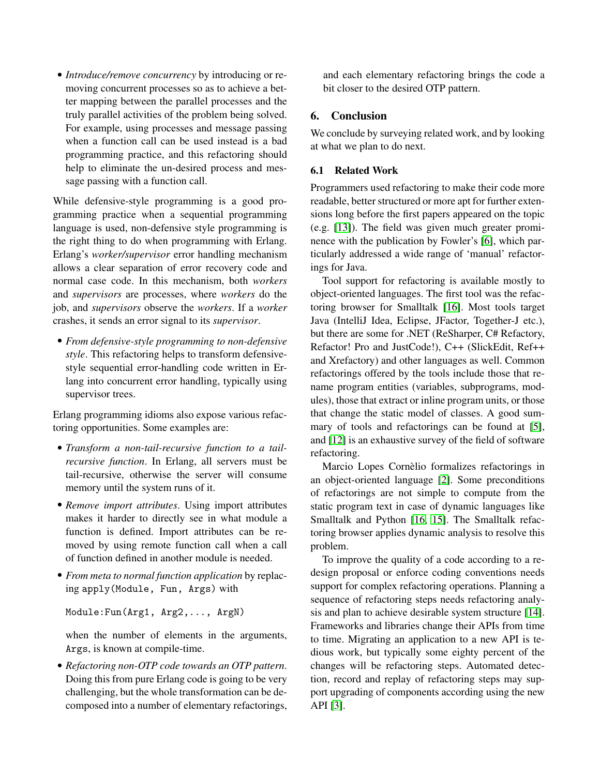• *Introduce/remove concurrency* by introducing or removing concurrent processes so as to achieve a better mapping between the parallel processes and the truly parallel activities of the problem being solved. For example, using processes and message passing when a function call can be used instead is a bad programming practice, and this refactoring should help to eliminate the un-desired process and message passing with a function call.

While defensive-style programming is a good programming practice when a sequential programming language is used, non-defensive style programming is the right thing to do when programming with Erlang. Erlang's *worker/supervisor* error handling mechanism allows a clear separation of error recovery code and normal case code. In this mechanism, both *workers* and *supervisors* are processes, where *workers* do the job, and *supervisors* observe the *workers*. If a *worker* crashes, it sends an error signal to its *supervisor*.

<span id="page-9-13"></span><span id="page-9-5"></span>• *From defensive-style programming to non-defensive style*. This refactoring helps to transform defensivestyle sequential error-handling code written in Erlang into concurrent error handling, typically using supervisor trees.

<span id="page-9-16"></span>Erlang programming idioms also expose various refactoring opportunities. Some examples are:

- <span id="page-9-8"></span>• *Transform a non-tail-recursive function to a tailrecursive function*. In Erlang, all servers must be tail-recursive, otherwise the server will consume memory until the system runs of it.
- <span id="page-9-11"></span>• *Remove import attributes*. Using import attributes makes it harder to directly see in what module a function is defined. Import attributes can be removed by using remote function call when a call of function defined in another module is needed.
- <span id="page-9-1"></span><span id="page-9-0"></span>• *From meta to normal function application* by replacing apply(Module, Fun, Args) with

<span id="page-9-4"></span>Module:Fun(Arg1, Arg2,..., ArgN)

<span id="page-9-2"></span>when the number of elements in the arguments, Args, is known at compile-time.

<span id="page-9-3"></span>• *Refactoring non-OTP code towards an OTP pattern*. Doing this from pure Erlang code is going to be very challenging, but the whole transformation can be decomposed into a number of elementary refactorings, <span id="page-9-6"></span>and each elementary refactoring brings the code a bit closer to the desired OTP pattern.

#### <span id="page-9-12"></span>6. Conclusion

<span id="page-9-9"></span>We conclude by surveying related work, and by looking at what we plan to do next.

#### <span id="page-9-15"></span>6.1 Related Work

<span id="page-9-14"></span>Programmers used refactoring to make their code more readable, better structured or more apt for further extensions long before the first papers appeared on the topic (e.g. [\[13\]](#page-9-9)). The field was given much greater prominence with the publication by Fowler's [\[6\]](#page-9-0), which particularly addressed a wide range of 'manual' refactorings for Java.

<span id="page-9-10"></span><span id="page-9-7"></span>Tool support for refactoring is available mostly to object-oriented languages. The first tool was the refactoring browser for Smalltalk [\[16\]](#page-9-10). Most tools target Java (IntelliJ Idea, Eclipse, JFactor, Together-J etc.), but there are some for .NET (ReSharper, C# Refactory, Refactor! Pro and JustCode!), C++ (SlickEdit, Ref++ and Xrefactory) and other languages as well. Common refactorings offered by the tools include those that rename program entities (variables, subprograms, modules), those that extract or inline program units, or those that change the static model of classes. A good summary of tools and refactorings can be found at [\[5\]](#page-9-11), and [\[12\]](#page-9-12) is an exhaustive survey of the field of software refactoring.

Marcio Lopes Cornèlio formalizes refactorings in an object-oriented language [\[2\]](#page-9-13). Some preconditions of refactorings are not simple to compute from the static program text in case of dynamic languages like Smalltalk and Python [\[16,](#page-9-10) [15\]](#page-9-14). The Smalltalk refactoring browser applies dynamic analysis to resolve this problem.

To improve the quality of a code according to a redesign proposal or enforce coding conventions needs support for complex refactoring operations. Planning a sequence of refactoring steps needs refactoring analysis and plan to achieve desirable system structure [\[14\]](#page-9-15). Frameworks and libraries change their APIs from time to time. Migrating an application to a new API is tedious work, but typically some eighty percent of the changes will be refactoring steps. Automated detection, record and replay of refactoring steps may support upgrading of components according using the new API [\[3\]](#page-9-16).